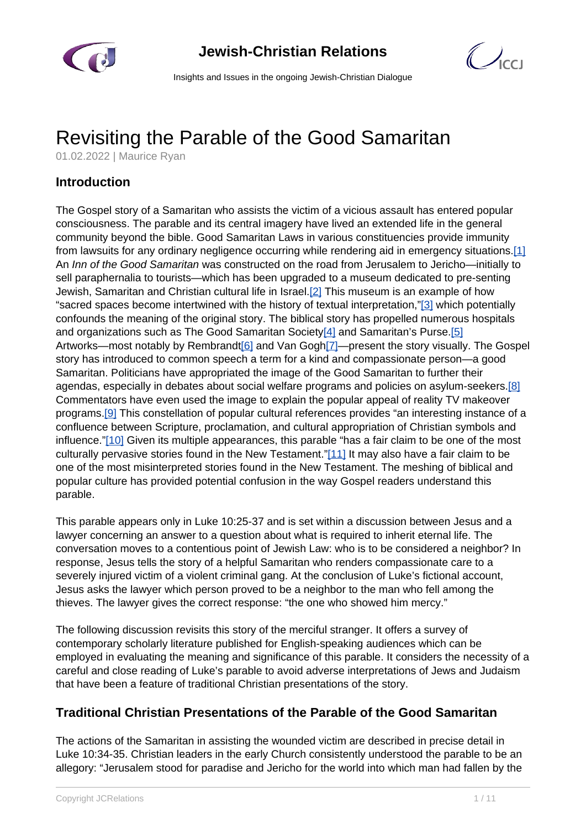



Insights and Issues in the ongoing Jewish-Christian Dialogue

# Revisiting the Parable of the Good Samaritan

01.02.2022 | Maurice Ryan

# **Introduction**

The Gospel story of a Samaritan who assists the victim of a vicious assault has entered popular consciousness. The parable and its central imagery have lived an extended life in the general community beyond the bible. Good Samaritan Laws in various constituencies provide immunity from lawsuits for any ordinary negligence occurring while rendering aid in emergency situations.[1] An Inn of the Good Samaritan was constructed on the road from Jerusalem to Jericho—initially to sell paraphernalia to tourists—which has been upgraded to a museum dedicated to pre-senting Jewish, Samaritan and Christian cultural life in Israel.[2] This museum is an example of how "sacred spaces become intertwined with the history of textual interpretation,"[3] which potentially confounds the meaning of the original story. The biblical story has propelled numerous hospitals and organizations such as The Good Samaritan Society[4] and Samaritan's Purse.[5] Artworks—most notably by Rembrandt[6] and Van Gogh[7]—present the story visually. The Gospel story has introduced to common speech a term for a kind and compassionate person—a good Samaritan. Politicians have appropriated the image of the Good Samaritan to further their agendas, especially in debates about social welfare programs and policies on asylum-seekers.[8] Commentators have even used the image to explain the popular appeal of reality TV makeover programs.<sup>[9]</sup> This constellation of popular cultural references provides "an interesting instance of a confluence between Scripture, proclamation, and cultural appropriation of Christian symbols and influence."[10] Given its multiple appearances, this parable "has a fair claim to be one of the most culturally pervasive stories found in the New Testament."[11] It may also have a fair claim to be one of the most misinterpreted stories found in the New Testament. The meshing of biblical and popular culture has provided potential confusion in the way Gospel readers understand this parable.

This parable appears only in Luke 10:25-37 and is set within a discussion between Jesus and a lawyer concerning an answer to a question about what is required to inherit eternal life. The conversation moves to a contentious point of Jewish Law: who is to be considered a neighbor? In response, Jesus tells the story of a helpful Samaritan who renders compassionate care to a severely injured victim of a violent criminal gang. At the conclusion of Luke's fictional account, Jesus asks the lawyer which person proved to be a neighbor to the man who fell among the thieves. The lawyer gives the correct response: "the one who showed him mercy."

The following discussion revisits this story of the merciful stranger. It offers a survey of contemporary scholarly literature published for English-speaking audiences which can be employed in evaluating the meaning and significance of this parable. It considers the necessity of a careful and close reading of Luke's parable to avoid adverse interpretations of Jews and Judaism that have been a feature of traditional Christian presentations of the story.

# **Traditional Christian Presentations of the Parable of the Good Samaritan**

The actions of the Samaritan in assisting the wounded victim are described in precise detail in Luke 10:34-35. Christian leaders in the early Church consistently understood the parable to be an allegory: "Jerusalem stood for paradise and Jericho for the world into which man had fallen by the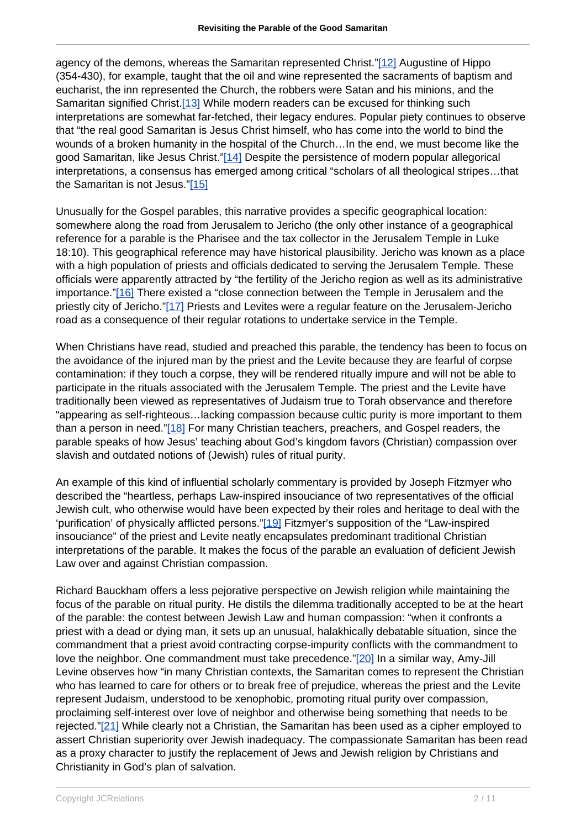agency of the demons, whereas the Samaritan represented Christ."[12] Augustine of Hippo (354-430), for example, taught that the oil and wine represented the sacraments of baptism and eucharist, the inn represented the Church, the robbers were Satan and his minions, and the Samaritan signified Christ.[13] While modern readers can be excused for thinking such interpretations are somewhat far-fetched, their legacy endures. Popular piety continues to observe that "the real good Samaritan is Jesus Christ himself, who has come into the world to bind the wounds of a broken humanity in the hospital of the Church…In the end, we must become like the good Samaritan, like Jesus Christ."[14] Despite the persistence of modern popular allegorical interpretations, a consensus has emerged among critical "scholars of all theological stripes…that the Samaritan is not Jesus."[15]

Unusually for the Gospel parables, this narrative provides a specific geographical location: somewhere along the road from Jerusalem to Jericho (the only other instance of a geographical reference for a parable is the Pharisee and the tax collector in the Jerusalem Temple in Luke 18:10). This geographical reference may have historical plausibility. Jericho was known as a place with a high population of priests and officials dedicated to serving the Jerusalem Temple. These officials were apparently attracted by "the fertility of the Jericho region as well as its administrative importance."[16] There existed a "close connection between the Temple in Jerusalem and the priestly city of Jericho."[17] Priests and Levites were a regular feature on the Jerusalem-Jericho road as a consequence of their regular rotations to undertake service in the Temple.

When Christians have read, studied and preached this parable, the tendency has been to focus on the avoidance of the injured man by the priest and the Levite because they are fearful of corpse contamination: if they touch a corpse, they will be rendered ritually impure and will not be able to participate in the rituals associated with the Jerusalem Temple. The priest and the Levite have traditionally been viewed as representatives of Judaism true to Torah observance and therefore "appearing as self-righteous…lacking compassion because cultic purity is more important to them than a person in need."[18] For many Christian teachers, preachers, and Gospel readers, the parable speaks of how Jesus' teaching about God's kingdom favors (Christian) compassion over slavish and outdated notions of (Jewish) rules of ritual purity.

An example of this kind of influential scholarly commentary is provided by Joseph Fitzmyer who described the "heartless, perhaps Law-inspired insouciance of two representatives of the official Jewish cult, who otherwise would have been expected by their roles and heritage to deal with the 'purification' of physically afflicted persons."[19] Fitzmyer's supposition of the "Law-inspired insouciance" of the priest and Levite neatly encapsulates predominant traditional Christian interpretations of the parable. It makes the focus of the parable an evaluation of deficient Jewish Law over and against Christian compassion.

Richard Bauckham offers a less pejorative perspective on Jewish religion while maintaining the focus of the parable on ritual purity. He distils the dilemma traditionally accepted to be at the heart of the parable: the contest between Jewish Law and human compassion: "when it confronts a priest with a dead or dying man, it sets up an unusual, halakhically debatable situation, since the commandment that a priest avoid contracting corpse-impurity conflicts with the commandment to love the neighbor. One commandment must take precedence."[20] In a similar way, Amy-Jill Levine observes how "in many Christian contexts, the Samaritan comes to represent the Christian who has learned to care for others or to break free of prejudice, whereas the priest and the Levite represent Judaism, understood to be xenophobic, promoting ritual purity over compassion, proclaiming self-interest over love of neighbor and otherwise being something that needs to be rejected."[21] While clearly not a Christian, the Samaritan has been used as a cipher employed to assert Christian superiority over Jewish inadequacy. The compassionate Samaritan has been read as a proxy character to justify the replacement of Jews and Jewish religion by Christians and Christianity in God's plan of salvation.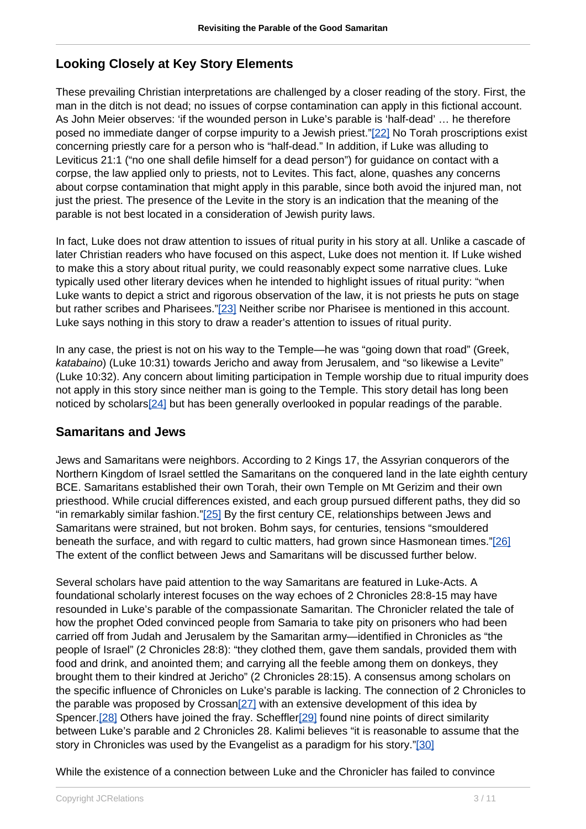## **Looking Closely at Key Story Elements**

These prevailing Christian interpretations are challenged by a closer reading of the story. First, the man in the ditch is not dead; no issues of corpse contamination can apply in this fictional account. As John Meier observes: 'if the wounded person in Luke's parable is 'half-dead' ... he therefore posed no immediate danger of corpse impurity to a Jewish priest."[22] No Torah proscriptions exist concerning priestly care for a person who is "half-dead." In addition, if Luke was alluding to Leviticus 21:1 ("no one shall defile himself for a dead person") for guidance on contact with a corpse, the law applied only to priests, not to Levites. This fact, alone, quashes any concerns about corpse contamination that might apply in this parable, since both avoid the injured man, not just the priest. The presence of the Levite in the story is an indication that the meaning of the parable is not best located in a consideration of Jewish purity laws.

In fact, Luke does not draw attention to issues of ritual purity in his story at all. Unlike a cascade of later Christian readers who have focused on this aspect, Luke does not mention it. If Luke wished to make this a story about ritual purity, we could reasonably expect some narrative clues. Luke typically used other literary devices when he intended to highlight issues of ritual purity: "when Luke wants to depict a strict and rigorous observation of the law, it is not priests he puts on stage but rather scribes and Pharisees."[23] Neither scribe nor Pharisee is mentioned in this account. Luke says nothing in this story to draw a reader's attention to issues of ritual purity.

In any case, the priest is not on his way to the Temple—he was "going down that road" (Greek, katabaino) (Luke 10:31) towards Jericho and away from Jerusalem, and "so likewise a Levite" (Luke 10:32). Any concern about limiting participation in Temple worship due to ritual impurity does not apply in this story since neither man is going to the Temple. This story detail has long been noticed by scholars<sup>[24]</sup> but has been generally overlooked in popular readings of the parable.

#### **Samaritans and Jews**

Jews and Samaritans were neighbors. According to 2 Kings 17, the Assyrian conquerors of the Northern Kingdom of Israel settled the Samaritans on the conquered land in the late eighth century BCE. Samaritans established their own Torah, their own Temple on Mt Gerizim and their own priesthood. While crucial differences existed, and each group pursued different paths, they did so "in remarkably similar fashion."[25] By the first century CE, relationships between Jews and Samaritans were strained, but not broken. Bohm says, for centuries, tensions "smouldered beneath the surface, and with regard to cultic matters, had grown since Hasmonean times."[26] The extent of the conflict between Jews and Samaritans will be discussed further below.

Several scholars have paid attention to the way Samaritans are featured in Luke-Acts. A foundational scholarly interest focuses on the way echoes of 2 Chronicles 28:8-15 may have resounded in Luke's parable of the compassionate Samaritan. The Chronicler related the tale of how the prophet Oded convinced people from Samaria to take pity on prisoners who had been carried off from Judah and Jerusalem by the Samaritan army—identified in Chronicles as "the people of Israel" (2 Chronicles 28:8): "they clothed them, gave them sandals, provided them with food and drink, and anointed them; and carrying all the feeble among them on donkeys, they brought them to their kindred at Jericho" (2 Chronicles 28:15). A consensus among scholars on the specific influence of Chronicles on Luke's parable is lacking. The connection of 2 Chronicles to the parable was proposed by Crossan[27] with an extensive development of this idea by Spencer.[28] Others have joined the fray. Scheffler[29] found nine points of direct similarity between Luke's parable and 2 Chronicles 28. Kalimi believes "it is reasonable to assume that the story in Chronicles was used by the Evangelist as a paradigm for his story."[30]

While the existence of a connection between Luke and the Chronicler has failed to convince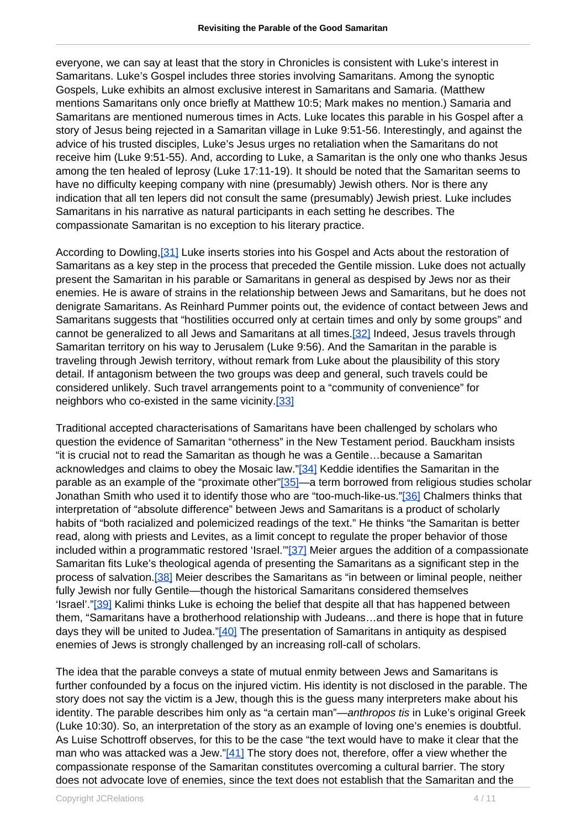everyone, we can say at least that the story in Chronicles is consistent with Luke's interest in Samaritans. Luke's Gospel includes three stories involving Samaritans. Among the synoptic Gospels, Luke exhibits an almost exclusive interest in Samaritans and Samaria. (Matthew mentions Samaritans only once briefly at Matthew 10:5; Mark makes no mention.) Samaria and Samaritans are mentioned numerous times in Acts. Luke locates this parable in his Gospel after a story of Jesus being rejected in a Samaritan village in Luke 9:51-56. Interestingly, and against the advice of his trusted disciples, Luke's Jesus urges no retaliation when the Samaritans do not receive him (Luke 9:51-55). And, according to Luke, a Samaritan is the only one who thanks Jesus among the ten healed of leprosy (Luke 17:11-19). It should be noted that the Samaritan seems to have no difficulty keeping company with nine (presumably) Jewish others. Nor is there any indication that all ten lepers did not consult the same (presumably) Jewish priest. Luke includes Samaritans in his narrative as natural participants in each setting he describes. The compassionate Samaritan is no exception to his literary practice.

According to Dowling,[31] Luke inserts stories into his Gospel and Acts about the restoration of Samaritans as a key step in the process that preceded the Gentile mission. Luke does not actually present the Samaritan in his parable or Samaritans in general as despised by Jews nor as their enemies. He is aware of strains in the relationship between Jews and Samaritans, but he does not denigrate Samaritans. As Reinhard Pummer points out, the evidence of contact between Jews and Samaritans suggests that "hostilities occurred only at certain times and only by some groups" and cannot be generalized to all Jews and Samaritans at all times.[32] Indeed, Jesus travels through Samaritan territory on his way to Jerusalem (Luke 9:56). And the Samaritan in the parable is traveling through Jewish territory, without remark from Luke about the plausibility of this story detail. If antagonism between the two groups was deep and general, such travels could be considered unlikely. Such travel arrangements point to a "community of convenience" for neighbors who co-existed in the same vicinity.[33]

Traditional accepted characterisations of Samaritans have been challenged by scholars who question the evidence of Samaritan "otherness" in the New Testament period. Bauckham insists "it is crucial not to read the Samaritan as though he was a Gentile…because a Samaritan acknowledges and claims to obey the Mosaic law."[34] Keddie identifies the Samaritan in the parable as an example of the "proximate other"[35]—a term borrowed from religious studies scholar Jonathan Smith who used it to identify those who are "too-much-like-us."[36] Chalmers thinks that interpretation of "absolute difference" between Jews and Samaritans is a product of scholarly habits of "both racialized and polemicized readings of the text." He thinks "the Samaritan is better read, along with priests and Levites, as a limit concept to regulate the proper behavior of those included within a programmatic restored 'Israel.'"[37] Meier argues the addition of a compassionate Samaritan fits Luke's theological agenda of presenting the Samaritans as a significant step in the process of salvation.[38] Meier describes the Samaritans as "in between or liminal people, neither fully Jewish nor fully Gentile—though the historical Samaritans considered themselves 'Israel'."[39] Kalimi thinks Luke is echoing the belief that despite all that has happened between them, "Samaritans have a brotherhood relationship with Judeans…and there is hope that in future days they will be united to Judea."[40] The presentation of Samaritans in antiquity as despised enemies of Jews is strongly challenged by an increasing roll-call of scholars.

The idea that the parable conveys a state of mutual enmity between Jews and Samaritans is further confounded by a focus on the injured victim. His identity is not disclosed in the parable. The story does not say the victim is a Jew, though this is the guess many interpreters make about his identity. The parable describes him only as "a certain man"—anthropos tis in Luke's original Greek (Luke 10:30). So, an interpretation of the story as an example of loving one's enemies is doubtful. As Luise Schottroff observes, for this to be the case "the text would have to make it clear that the man who was attacked was a Jew." $[41]$  The story does not, therefore, offer a view whether the compassionate response of the Samaritan constitutes overcoming a cultural barrier. The story does not advocate love of enemies, since the text does not establish that the Samaritan and the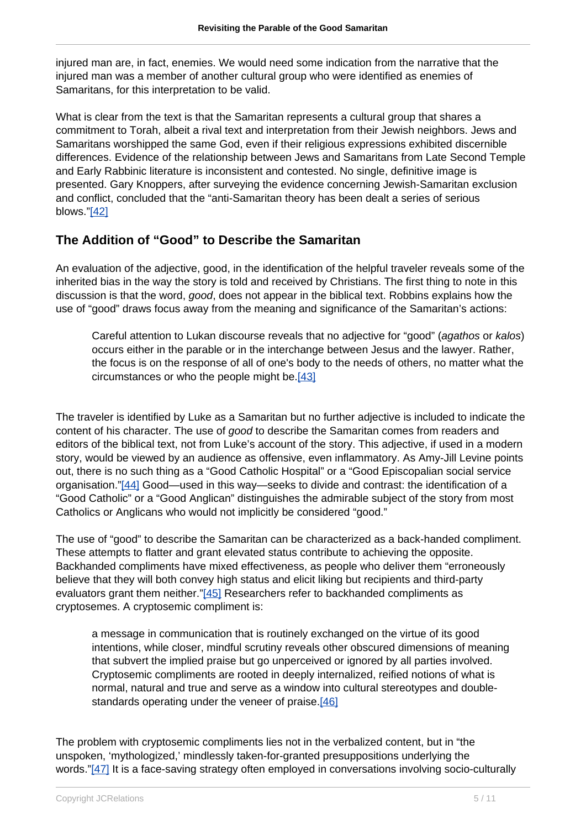injured man are, in fact, enemies. We would need some indication from the narrative that the injured man was a member of another cultural group who were identified as enemies of Samaritans, for this interpretation to be valid.

What is clear from the text is that the Samaritan represents a cultural group that shares a commitment to Torah, albeit a rival text and interpretation from their Jewish neighbors. Jews and Samaritans worshipped the same God, even if their religious expressions exhibited discernible differences. Evidence of the relationship between Jews and Samaritans from Late Second Temple and Early Rabbinic literature is inconsistent and contested. No single, definitive image is presented. Gary Knoppers, after surveying the evidence concerning Jewish-Samaritan exclusion and conflict, concluded that the "anti-Samaritan theory has been dealt a series of serious blows."[42]

## **The Addition of "Good" to Describe the Samaritan**

An evaluation of the adjective, good, in the identification of the helpful traveler reveals some of the inherited bias in the way the story is told and received by Christians. The first thing to note in this discussion is that the word, good, does not appear in the biblical text. Robbins explains how the use of "good" draws focus away from the meaning and significance of the Samaritan's actions:

Careful attention to Lukan discourse reveals that no adjective for "good" (agathos or kalos) occurs either in the parable or in the interchange between Jesus and the lawyer. Rather, the focus is on the response of all of one's body to the needs of others, no matter what the circumstances or who the people might be.[43]

The traveler is identified by Luke as a Samaritan but no further adjective is included to indicate the content of his character. The use of good to describe the Samaritan comes from readers and editors of the biblical text, not from Luke's account of the story. This adjective, if used in a modern story, would be viewed by an audience as offensive, even inflammatory. As Amy-Jill Levine points out, there is no such thing as a "Good Catholic Hospital" or a "Good Episcopalian social service organisation."[44] Good—used in this way—seeks to divide and contrast: the identification of a "Good Catholic" or a "Good Anglican" distinguishes the admirable subject of the story from most Catholics or Anglicans who would not implicitly be considered "good."

The use of "good" to describe the Samaritan can be characterized as a back-handed compliment. These attempts to flatter and grant elevated status contribute to achieving the opposite. Backhanded compliments have mixed effectiveness, as people who deliver them "erroneously believe that they will both convey high status and elicit liking but recipients and third-party evaluators grant them neither."[45] Researchers refer to backhanded compliments as cryptosemes. A cryptosemic compliment is:

a message in communication that is routinely exchanged on the virtue of its good intentions, while closer, mindful scrutiny reveals other obscured dimensions of meaning that subvert the implied praise but go unperceived or ignored by all parties involved. Cryptosemic compliments are rooted in deeply internalized, reified notions of what is normal, natural and true and serve as a window into cultural stereotypes and doublestandards operating under the veneer of praise.[46]

The problem with cryptosemic compliments lies not in the verbalized content, but in "the unspoken, 'mythologized,' mindlessly taken-for-granted presuppositions underlying the words."[47] It is a face-saving strategy often employed in conversations involving socio-culturally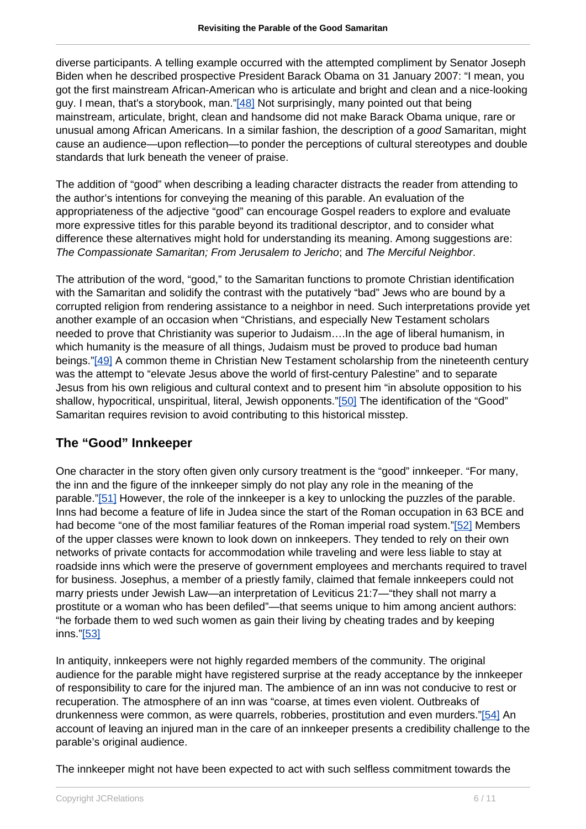diverse participants. A telling example occurred with the attempted compliment by Senator Joseph Biden when he described prospective President Barack Obama on 31 January 2007: "I mean, you got the first mainstream African-American who is articulate and bright and clean and a nice-looking guy. I mean, that's a storybook, man."[48] Not surprisingly, many pointed out that being mainstream, articulate, bright, clean and handsome did not make Barack Obama unique, rare or unusual among African Americans. In a similar fashion, the description of a good Samaritan, might cause an audience—upon reflection—to ponder the perceptions of cultural stereotypes and double standards that lurk beneath the veneer of praise.

The addition of "good" when describing a leading character distracts the reader from attending to the author's intentions for conveying the meaning of this parable. An evaluation of the appropriateness of the adjective "good" can encourage Gospel readers to explore and evaluate more expressive titles for this parable beyond its traditional descriptor, and to consider what difference these alternatives might hold for understanding its meaning. Among suggestions are: The Compassionate Samaritan; From Jerusalem to Jericho; and The Merciful Neighbor.

The attribution of the word, "good," to the Samaritan functions to promote Christian identification with the Samaritan and solidify the contrast with the putatively "bad" Jews who are bound by a corrupted religion from rendering assistance to a neighbor in need. Such interpretations provide yet another example of an occasion when "Christians, and especially New Testament scholars needed to prove that Christianity was superior to Judaism….In the age of liberal humanism, in which humanity is the measure of all things, Judaism must be proved to produce bad human beings."[49] A common theme in Christian New Testament scholarship from the nineteenth century was the attempt to "elevate Jesus above the world of first-century Palestine" and to separate Jesus from his own religious and cultural context and to present him "in absolute opposition to his shallow, hypocritical, unspiritual, literal, Jewish opponents."[50] The identification of the "Good" Samaritan requires revision to avoid contributing to this historical misstep.

### **The "Good" Innkeeper**

One character in the story often given only cursory treatment is the "good" innkeeper. "For many, the inn and the figure of the innkeeper simply do not play any role in the meaning of the parable."[51] However, the role of the innkeeper is a key to unlocking the puzzles of the parable. Inns had become a feature of life in Judea since the start of the Roman occupation in 63 BCE and had become "one of the most familiar features of the Roman imperial road system."[52] Members of the upper classes were known to look down on innkeepers. They tended to rely on their own networks of private contacts for accommodation while traveling and were less liable to stay at roadside inns which were the preserve of government employees and merchants required to travel for business. Josephus, a member of a priestly family, claimed that female innkeepers could not marry priests under Jewish Law—an interpretation of Leviticus 21:7—"they shall not marry a prostitute or a woman who has been defiled"—that seems unique to him among ancient authors: "he forbade them to wed such women as gain their living by cheating trades and by keeping inns."[53]

In antiquity, innkeepers were not highly regarded members of the community. The original audience for the parable might have registered surprise at the ready acceptance by the innkeeper of responsibility to care for the injured man. The ambience of an inn was not conducive to rest or recuperation. The atmosphere of an inn was "coarse, at times even violent. Outbreaks of drunkenness were common, as were quarrels, robberies, prostitution and even murders."[54] An account of leaving an injured man in the care of an innkeeper presents a credibility challenge to the parable's original audience.

The innkeeper might not have been expected to act with such selfless commitment towards the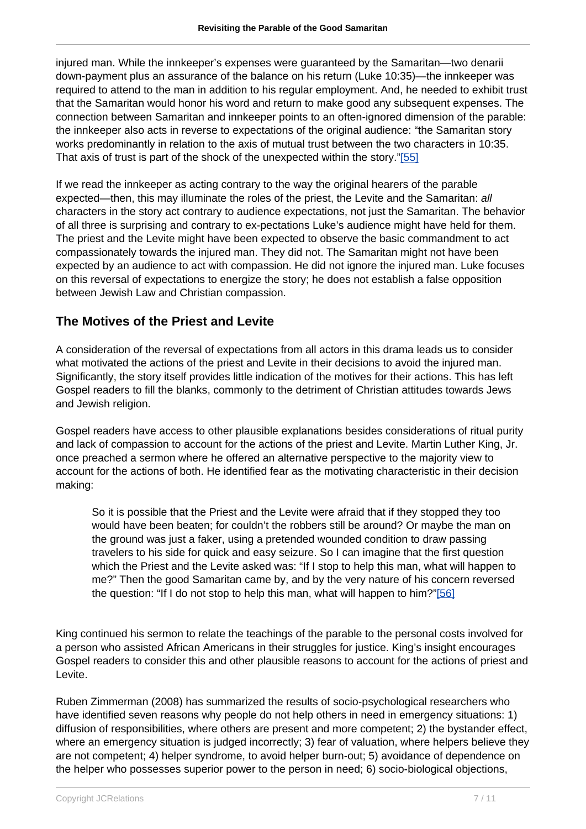injured man. While the innkeeper's expenses were guaranteed by the Samaritan—two denarii down-payment plus an assurance of the balance on his return (Luke 10:35)—the innkeeper was required to attend to the man in addition to his regular employment. And, he needed to exhibit trust that the Samaritan would honor his word and return to make good any subsequent expenses. The connection between Samaritan and innkeeper points to an often-ignored dimension of the parable: the innkeeper also acts in reverse to expectations of the original audience: "the Samaritan story works predominantly in relation to the axis of mutual trust between the two characters in 10:35. That axis of trust is part of the shock of the unexpected within the story."[55]

If we read the innkeeper as acting contrary to the way the original hearers of the parable expected—then, this may illuminate the roles of the priest, the Levite and the Samaritan: all characters in the story act contrary to audience expectations, not just the Samaritan. The behavior of all three is surprising and contrary to ex-pectations Luke's audience might have held for them. The priest and the Levite might have been expected to observe the basic commandment to act compassionately towards the injured man. They did not. The Samaritan might not have been expected by an audience to act with compassion. He did not ignore the injured man. Luke focuses on this reversal of expectations to energize the story; he does not establish a false opposition between Jewish Law and Christian compassion.

# **The Motives of the Priest and Levite**

A consideration of the reversal of expectations from all actors in this drama leads us to consider what motivated the actions of the priest and Levite in their decisions to avoid the injured man. Significantly, the story itself provides little indication of the motives for their actions. This has left Gospel readers to fill the blanks, commonly to the detriment of Christian attitudes towards Jews and Jewish religion.

Gospel readers have access to other plausible explanations besides considerations of ritual purity and lack of compassion to account for the actions of the priest and Levite. Martin Luther King, Jr. once preached a sermon where he offered an alternative perspective to the majority view to account for the actions of both. He identified fear as the motivating characteristic in their decision making:

So it is possible that the Priest and the Levite were afraid that if they stopped they too would have been beaten; for couldn't the robbers still be around? Or maybe the man on the ground was just a faker, using a pretended wounded condition to draw passing travelers to his side for quick and easy seizure. So I can imagine that the first question which the Priest and the Levite asked was: "If I stop to help this man, what will happen to me?" Then the good Samaritan came by, and by the very nature of his concern reversed the question: "If I do not stop to help this man, what will happen to him?"[56]

King continued his sermon to relate the teachings of the parable to the personal costs involved for a person who assisted African Americans in their struggles for justice. King's insight encourages Gospel readers to consider this and other plausible reasons to account for the actions of priest and Levite.

Ruben Zimmerman (2008) has summarized the results of socio-psychological researchers who have identified seven reasons why people do not help others in need in emergency situations: 1) diffusion of responsibilities, where others are present and more competent; 2) the bystander effect, where an emergency situation is judged incorrectly; 3) fear of valuation, where helpers believe they are not competent; 4) helper syndrome, to avoid helper burn-out; 5) avoidance of dependence on the helper who possesses superior power to the person in need; 6) socio-biological objections,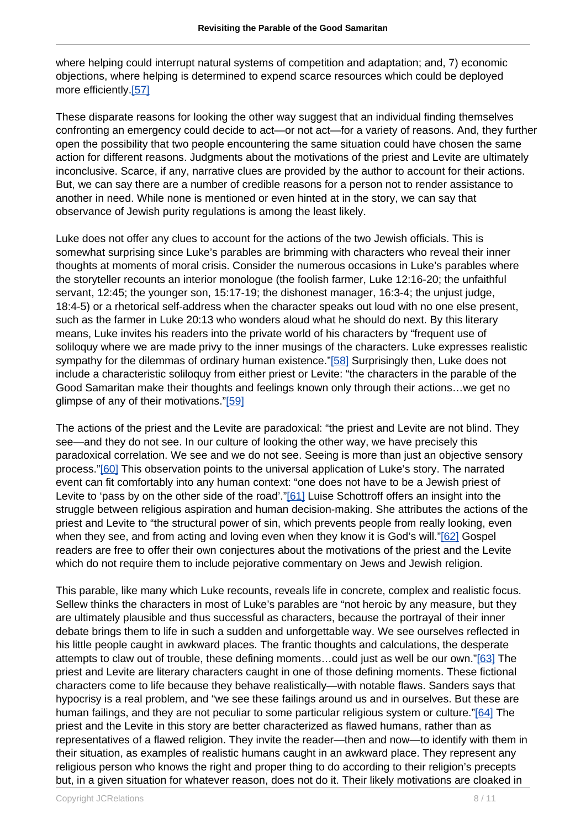where helping could interrupt natural systems of competition and adaptation; and, 7) economic objections, where helping is determined to expend scarce resources which could be deployed more efficiently.[57]

These disparate reasons for looking the other way suggest that an individual finding themselves confronting an emergency could decide to act—or not act—for a variety of reasons. And, they further open the possibility that two people encountering the same situation could have chosen the same action for different reasons. Judgments about the motivations of the priest and Levite are ultimately inconclusive. Scarce, if any, narrative clues are provided by the author to account for their actions. But, we can say there are a number of credible reasons for a person not to render assistance to another in need. While none is mentioned or even hinted at in the story, we can say that observance of Jewish purity regulations is among the least likely.

Luke does not offer any clues to account for the actions of the two Jewish officials. This is somewhat surprising since Luke's parables are brimming with characters who reveal their inner thoughts at moments of moral crisis. Consider the numerous occasions in Luke's parables where the storyteller recounts an interior monologue (the foolish farmer, Luke 12:16-20; the unfaithful servant, 12:45; the younger son, 15:17-19; the dishonest manager, 16:3-4; the unjust judge, 18:4-5) or a rhetorical self-address when the character speaks out loud with no one else present, such as the farmer in Luke 20:13 who wonders aloud what he should do next. By this literary means, Luke invites his readers into the private world of his characters by "frequent use of soliloquy where we are made privy to the inner musings of the characters. Luke expresses realistic sympathy for the dilemmas of ordinary human existence."[58] Surprisingly then, Luke does not include a characteristic soliloquy from either priest or Levite: "the characters in the parable of the Good Samaritan make their thoughts and feelings known only through their actions…we get no glimpse of any of their motivations."[59]

The actions of the priest and the Levite are paradoxical: "the priest and Levite are not blind. They see—and they do not see. In our culture of looking the other way, we have precisely this paradoxical correlation. We see and we do not see. Seeing is more than just an objective sensory process."[60] This observation points to the universal application of Luke's story. The narrated event can fit comfortably into any human context: "one does not have to be a Jewish priest of Levite to 'pass by on the other side of the road'."[61] Luise Schottroff offers an insight into the struggle between religious aspiration and human decision-making. She attributes the actions of the priest and Levite to "the structural power of sin, which prevents people from really looking, even when they see, and from acting and loving even when they know it is God's will."[62] Gospel readers are free to offer their own conjectures about the motivations of the priest and the Levite which do not require them to include pejorative commentary on Jews and Jewish religion.

This parable, like many which Luke recounts, reveals life in concrete, complex and realistic focus. Sellew thinks the characters in most of Luke's parables are "not heroic by any measure, but they are ultimately plausible and thus successful as characters, because the portrayal of their inner debate brings them to life in such a sudden and unforgettable way. We see ourselves reflected in his little people caught in awkward places. The frantic thoughts and calculations, the desperate attempts to claw out of trouble, these defining moments…could just as well be our own."[63] The priest and Levite are literary characters caught in one of those defining moments. These fictional characters come to life because they behave realistically—with notable flaws. Sanders says that hypocrisy is a real problem, and "we see these failings around us and in ourselves. But these are human failings, and they are not peculiar to some particular religious system or culture."[64] The priest and the Levite in this story are better characterized as flawed humans, rather than as representatives of a flawed religion. They invite the reader—then and now—to identify with them in their situation, as examples of realistic humans caught in an awkward place. They represent any religious person who knows the right and proper thing to do according to their religion's precepts but, in a given situation for whatever reason, does not do it. Their likely motivations are cloaked in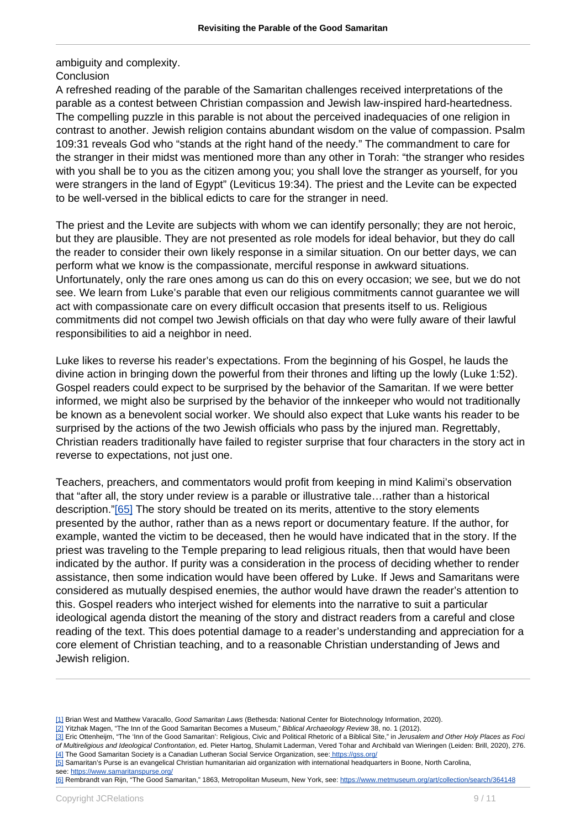ambiguity and complexity. **Conclusion** 

A refreshed reading of the parable of the Samaritan challenges received interpretations of the parable as a contest between Christian compassion and Jewish law-inspired hard-heartedness. The compelling puzzle in this parable is not about the perceived inadequacies of one religion in contrast to another. Jewish religion contains abundant wisdom on the value of compassion. Psalm 109:31 reveals God who "stands at the right hand of the needy." The commandment to care for the stranger in their midst was mentioned more than any other in Torah: "the stranger who resides with you shall be to you as the citizen among you; you shall love the stranger as yourself, for you were strangers in the land of Egypt" (Leviticus 19:34). The priest and the Levite can be expected to be well-versed in the biblical edicts to care for the stranger in need.

The priest and the Levite are subjects with whom we can identify personally; they are not heroic, but they are plausible. They are not presented as role models for ideal behavior, but they do call the reader to consider their own likely response in a similar situation. On our better days, we can perform what we know is the compassionate, merciful response in awkward situations. Unfortunately, only the rare ones among us can do this on every occasion; we see, but we do not see. We learn from Luke's parable that even our religious commitments cannot guarantee we will act with compassionate care on every difficult occasion that presents itself to us. Religious commitments did not compel two Jewish officials on that day who were fully aware of their lawful responsibilities to aid a neighbor in need.

Luke likes to reverse his reader's expectations. From the beginning of his Gospel, he lauds the divine action in bringing down the powerful from their thrones and lifting up the lowly (Luke 1:52). Gospel readers could expect to be surprised by the behavior of the Samaritan. If we were better informed, we might also be surprised by the behavior of the innkeeper who would not traditionally be known as a benevolent social worker. We should also expect that Luke wants his reader to be surprised by the actions of the two Jewish officials who pass by the injured man. Regrettably, Christian readers traditionally have failed to register surprise that four characters in the story act in reverse to expectations, not just one.

Teachers, preachers, and commentators would profit from keeping in mind Kalimi's observation that "after all, the story under review is a parable or illustrative tale…rather than a historical description."[65] The story should be treated on its merits, attentive to the story elements presented by the author, rather than as a news report or documentary feature. If the author, for example, wanted the victim to be deceased, then he would have indicated that in the story. If the priest was traveling to the Temple preparing to lead religious rituals, then that would have been indicated by the author. If purity was a consideration in the process of deciding whether to render assistance, then some indication would have been offered by Luke. If Jews and Samaritans were considered as mutually despised enemies, the author would have drawn the reader's attention to this. Gospel readers who interject wished for elements into the narrative to suit a particular ideological agenda distort the meaning of the story and distract readers from a careful and close reading of the text. This does potential damage to a reader's understanding and appreciation for a core element of Christian teaching, and to a reasonable Christian understanding of Jews and Jewish religion.

[2] Yitzhak Magen, "The Inn of the Good Samaritan Becomes a Museum," Biblical Archaeology Review 38, no. 1 (2012).

[6] Rembrandt van Rijn, "The Good Samaritan," 1863, Metropolitan Museum, New York, see: <https://www.metmuseum.org/art/collection/search/364148>

<sup>[1]</sup> Brian West and Matthew Varacallo. Good Samaritan Laws (Bethesda: National Center for Biotechnology Information, 2020).

<sup>[3]</sup> Eric Ottenheijm, "The 'Inn of the Good Samaritan': Religious, Civic and Political Rhetoric of a Biblical Site," in Jerusalem and Other Holy Places as Foci of Multireligious and Ideological Confrontation, ed. Pieter Hartog, Shulamit Laderman, Vered Tohar and Archibald van Wieringen (Leiden: Brill, 2020), 276. [4] The Good Samaritan Society is a Canadian Lutheran Social Service Organization, see: [https://gss.org/](http://http://)

<sup>[5]</sup> Samaritan's Purse is an evangelical Christian humanitarian aid organization with international headquarters in Boone, North Carolina, see: <https://www.samaritanspurse.org/>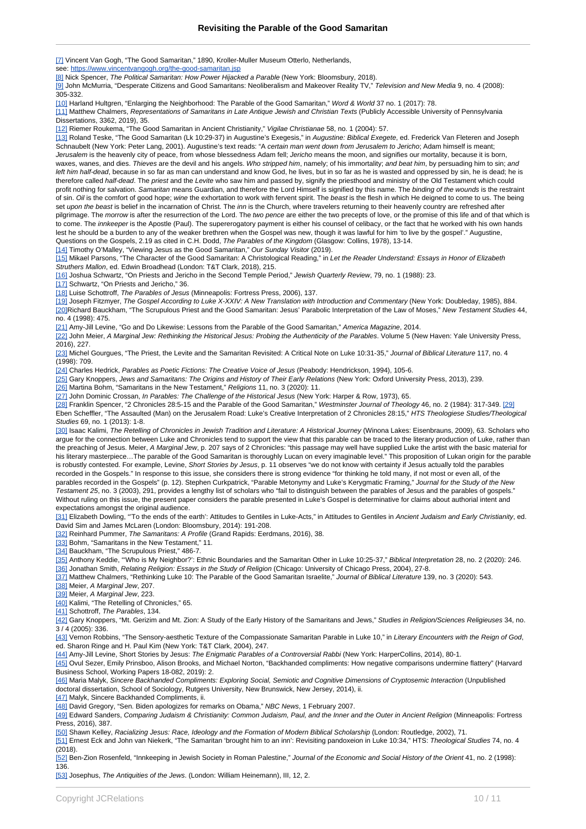[7] Vincent Van Gogh, "The Good Samaritan," 1890, Kroller-Muller Museum Otterlo, Netherlands,

see: <https://www.vincentvangogh.org/the-good-samaritan.jsp> [8] Nick Spencer, The Political Samaritan: How Power Hijacked a Parable (New York: Bloomsbury, 2018).

[9] John McMurria, "Desperate Citizens and Good Samaritans: Neoliberalism and Makeover Reality TV," Television and New Media 9, no. 4 (2008): 305-332.

[10] Harland Hultgren, "Enlarging the Neighborhood: The Parable of the Good Samaritan," Word & World 37 no. 1 (2017): 78.

[11] Matthew Chalmers, Representations of Samaritans in Late Antique Jewish and Christian Texts (Publicly Accessible University of Pennsylvania Dissertations, 3362, 2019), 35.

[12] Riemer Roukema, "The Good Samaritan in Ancient Christianity," Vigilae Christianae 58, no. 1 (2004): 57.

[13] Roland Teske, "The Good Samaritan (Lk 10:29-37) in Augustine's Exegesis," in Augustine: Biblical Exegete, ed. Frederick Van Fleteren and Joseph Schnaubelt (New York: Peter Lang, 2001). Augustine's text reads: "A certain man went down from Jerusalem to Jericho; Adam himself is meant; Jerusalem is the heavenly city of peace, from whose blessedness Adam fell; Jericho means the moon, and signifies our mortality, because it is born, waxes, wanes, and dies. Thieves are the devil and his angels. Who stripped him, namely; of his immortality; and beat him, by persuading him to sin; and left him half-dead, because in so far as man can understand and know God, he lives, but in so far as he is wasted and oppressed by sin, he is dead; he is therefore called half-dead. The priest and the Levite who saw him and passed by, signify the priesthood and ministry of the Old Testament which could profit nothing for salvation. Samaritan means Guardian, and therefore the Lord Himself is signified by this name. The binding of the wounds is the restraint of sin. Oil is the comfort of good hope; wine the exhortation to work with fervent spirit. The beast is the flesh in which He deigned to come to us. The being set upon the beast is belief in the incarnation of Christ. The inn is the Church, where travelers returning to their heavenly country are refreshed after pilgrimage. The morrow is after the resurrection of the Lord. The two pence are either the two precepts of love, or the promise of this life and of that which is to come. The innkeeper is the Apostle (Paul). The supererogatory payment is either his counsel of celibacy, or the fact that he worked with his own hands lest he should be a burden to any of the weaker brethren when the Gospel was new, though it was lawful for him 'to live by the gospel'." Augustine, Questions on the Gospels, 2.19 as cited in C.H. Dodd, The Parables of the Kingdom (Glasgow: Collins, 1978), 13-14.

[14] Timothy O'Malley, "Viewing Jesus as the Good Samaritan," Our Sunday Visitor (2019).

[15] Mikael Parsons, "The Character of the Good Samaritan: A Christological Reading," in *Let the Reader Understand: Essays in Honor of Elizabeth* Struthers Mallon, ed. Edwin Broadhead (London: T&T Clark, 2018), 215.

[16] Joshua Schwartz, "On Priests and Jericho in the Second Temple Period," Jewish Quarterly Review, 79, no. 1 (1988): 23.

[17] Schwartz, "On Priests and Jericho," 36.

[18] Luise Schottroff, The Parables of Jesus (Minneapolis: Fortress Press, 2006), 137.

[19] Joseph Fitzmyer, The Gospel According to Luke X-XXIV: A New Translation with Introduction and Commentary (New York: Doubleday, 1985), 884. [20]Richard Bauckham, "The Scrupulous Priest and the Good Samaritan: Jesus' Parabolic Interpretation of the Law of Moses," New Testament Studies 44, no. 4 (1998): 475.

[21] Amy-Jill Levine, "Go and Do Likewise: Lessons from the Parable of the Good Samaritan," America Magazine, 2014.

[22] John Meier, A Marginal Jew: Rethinking the Historical Jesus: Probing the Authenticity of the Parables. Volume 5 (New Haven: Yale University Press, 2016), 227.

[23] Michel Gourgues, "The Priest, the Levite and the Samaritan Revisited: A Critical Note on Luke 10:31-35," Journal of Biblical Literature 117, no. 4 (1998): 709.

[24] Charles Hedrick, Parables as Poetic Fictions: The Creative Voice of Jesus (Peabody: Hendrickson, 1994), 105-6.

[25] Gary Knoppers, Jews and Samaritans: The Origins and History of Their Early Relations (New York: Oxford University Press, 2013), 239.

[26] Martina Bohm, "Samaritans in the New Testament," Religions 11, no. 3 (2020): 11.

[27] John Dominic Crossan, In Parables: The Challenge of the Historical Jesus (New York: Harper & Row, 1973), 65.

[28] Franklin Spencer, "2 Chronicles 28:5-15 and the Parable of the Good Samaritan," Westminster Journal of Theology 46, no. 2 (1984): 317-349. [29] Eben Scheffler, "The Assaulted (Man) on the Jerusalem Road: Luke's Creative Interpretation of 2 Chronicles 28:15," HTS Theologiese Studies/Theological Studies 69, no. 1 (2013): 1-8.

[30] Isaac Kalimi, The Retelling of Chronicles in Jewish Tradition and Literature: A Historical Journey (Winona Lakes: Eisenbrauns, 2009), 63. Scholars who argue for the connection between Luke and Chronicles tend to support the view that this parable can be traced to the literary production of Luke, rather than the preaching of Jesus. Meier, A Marginal Jew, p. 207 says of 2 Chronicles: "this passage may well have supplied Luke the artist with the basic material for his literary masterpiece…The parable of the Good Samaritan is thoroughly Lucan on every imaginable level." This proposition of Lukan origin for the parable is robustly contested. For example, Levine, Short Stories by Jesus, p. 11 observes "we do not know with certainty if Jesus actually told the parables recorded in the Gospels." In response to this issue, she considers there is strong evidence "for thinking he told many, if not most or even all, of the parables recorded in the Gospels" (p. 12). Stephen Curkpatrick, "Parable Metonymy and Luke's Kerygmatic Framing," Journal for the Study of the New Testament 25, no. 3 (2003), 291, provides a lengthy list of scholars who "fail to distinguish between the parables of Jesus and the parables of gospels." Without ruling on this issue, the present paper considers the parable presented in Luke's Gospel is determinative for claims about authorial intent and

expectations amongst the original audience. [31] Elizabeth Dowling, "To the ends of the earth': Attitudes to Gentiles in Luke-Acts," in Attitudes to Gentiles in Ancient Judaism and Early Christianity, ed. David Sim and James McLaren (London: Bloomsbury, 2014): 191-208.

[32] Reinhard Pummer, The Samaritans: A Profile (Grand Rapids: Eerdmans, 2016), 38.

[33] Bohm, "Samaritans in the New Testament," 11.

[34] Bauckham, "The Scrupulous Priest," 486-7.

[35] Anthony Keddie, "Who is My Neighbor?': Ethnic Boundaries and the Samaritan Other in Luke 10:25-37," Biblical Interpretation 28, no. 2 (2020): 246. [36] Jonathan Smith, Relating Religion: Essays in the Study of Religion (Chicago: University of Chicago Press, 2004), 27-8.

[37] Matthew Chalmers, "Rethinking Luke 10: The Parable of the Good Samaritan Israelite," Journal of Biblical Literature 139, no. 3 (2020): 543.

[38] Meier, A Marginal Jew, 207.

[39] Meier, A Marginal Jew, 223.

[40] Kalimi, "The Retelling of Chronicles," 65.

[41] Schottroff, The Parables, 134.

[42] Gary Knoppers, "Mt. Gerizim and Mt. Zion: A Study of the Early History of the Samaritans and Jews," Studies in Religion/Sciences Religieuses 34, no.

3 / 4 (2005): 336.

[43] Vernon Robbins, "The Sensory-aesthetic Texture of the Compassionate Samaritan Parable in Luke 10," in Literary Encounters with the Reign of God, ed. Sharon Ringe and H. Paul Kim (New York: T&T Clark, 2004), 247.

[44] Amy-Jill Levine, Short Stories by Jesus: The Enigmatic Parables of a Controversial Rabbi (New York: HarperCollins, 2014), 80-1.

[45] Ovul Sezer, Emily Prinsboo, Alison Brooks, and Michael Norton, "Backhanded compliments: How negative comparisons undermine flattery" (Harvard Business School, Working Papers 18-082, 2019): 2.

[46] Maria Malyk, Sincere Backhanded Compliments: Exploring Social, Semiotic and Cognitive Dimensions of Cryptosemic Interaction (Unpublished doctoral dissertation, School of Sociology, Rutgers University, New Brunswick, New Jersey, 2014), ii.

[47] Malyk, Sincere Backhanded Compliments, ii.

[48] David Gregory, "Sen. Biden apologizes for remarks on Obama," NBC News, 1 February 2007.

[49] Edward Sanders, Comparing Judaism & Christianity: Common Judaism, Paul, and the Inner and the Outer in Ancient Religion (Minneapolis: Fortress Press, 2016), 387.

[50] Shawn Kelley, Racializing Jesus: Race, Ideology and the Formation of Modern Biblical Scholarship (London: Routledge, 2002), 71.

[51] Ernest Eck and John van Niekerk, "The Samaritan 'brought him to an inn': Revisiting pandoxeion in Luke 10:34," HTS: Theological Studies 74, no. 4  $(2018)$ 

[52] Ben-Zion Rosenfeld, "Innkeeping in Jewish Society in Roman Palestine," Journal of the Economic and Social History of the Orient 41, no. 2 (1998): 136.

[53] Josephus, The Antiquities of the Jews. (London: William Heinemann), III, 12, 2.